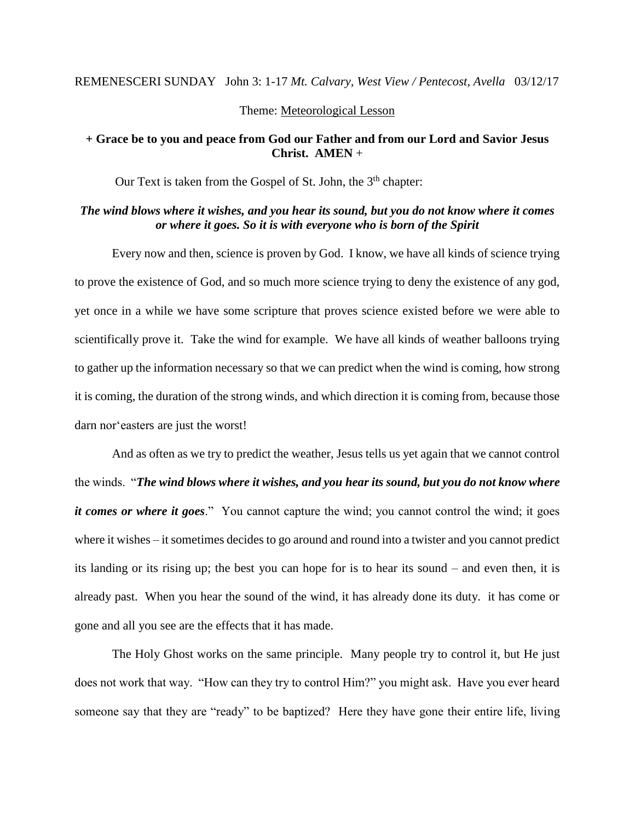#### REMENESCERI SUNDAY John 3: 1-17 *Mt. Calvary, West View / Pentecost, Avella* 03/12/17

#### Theme: Meteorological Lesson

### **+ Grace be to you and peace from God our Father and from our Lord and Savior Jesus Christ. AMEN** +

Our Text is taken from the Gospel of St. John, the 3<sup>th</sup> chapter:

## *The wind blows where it wishes, and you hear its sound, but you do not know where it comes or where it goes. So it is with everyone who is born of the Spirit*

Every now and then, science is proven by God. I know, we have all kinds of science trying to prove the existence of God, and so much more science trying to deny the existence of any god, yet once in a while we have some scripture that proves science existed before we were able to scientifically prove it. Take the wind for example. We have all kinds of weather balloons trying to gather up the information necessary so that we can predict when the wind is coming, how strong it is coming, the duration of the strong winds, and which direction it is coming from, because those darn nor'easters are just the worst!

And as often as we try to predict the weather, Jesus tells us yet again that we cannot control the winds. "*The wind blows where it wishes, and you hear its sound, but you do not know where it comes or where it goes*." You cannot capture the wind; you cannot control the wind; it goes where it wishes – it sometimes decides to go around and round into a twister and you cannot predict its landing or its rising up; the best you can hope for is to hear its sound – and even then, it is already past. When you hear the sound of the wind, it has already done its duty. it has come or gone and all you see are the effects that it has made.

The Holy Ghost works on the same principle. Many people try to control it, but He just does not work that way. "How can they try to control Him?" you might ask. Have you ever heard someone say that they are "ready" to be baptized? Here they have gone their entire life, living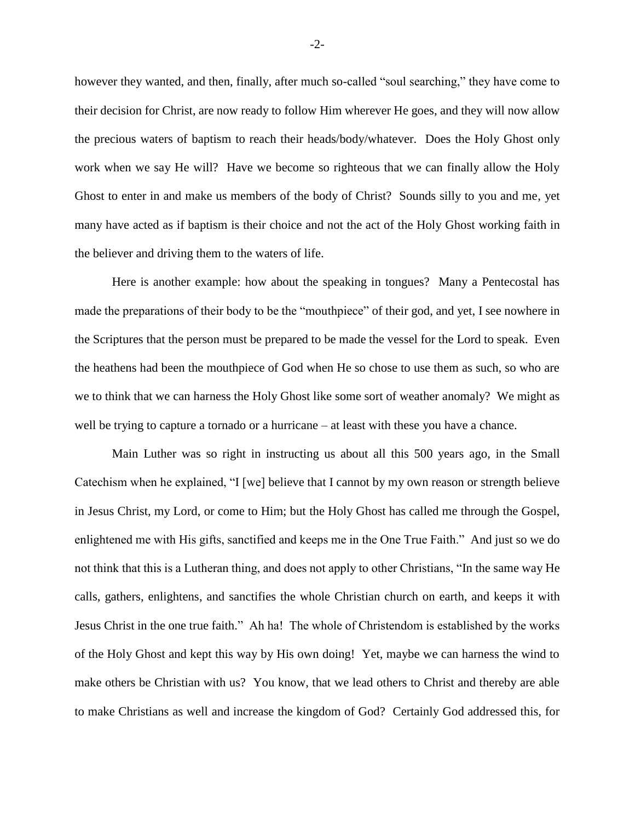however they wanted, and then, finally, after much so-called "soul searching," they have come to their decision for Christ, are now ready to follow Him wherever He goes, and they will now allow the precious waters of baptism to reach their heads/body/whatever. Does the Holy Ghost only work when we say He will? Have we become so righteous that we can finally allow the Holy Ghost to enter in and make us members of the body of Christ? Sounds silly to you and me, yet many have acted as if baptism is their choice and not the act of the Holy Ghost working faith in the believer and driving them to the waters of life.

Here is another example: how about the speaking in tongues? Many a Pentecostal has made the preparations of their body to be the "mouthpiece" of their god, and yet, I see nowhere in the Scriptures that the person must be prepared to be made the vessel for the Lord to speak. Even the heathens had been the mouthpiece of God when He so chose to use them as such, so who are we to think that we can harness the Holy Ghost like some sort of weather anomaly? We might as well be trying to capture a tornado or a hurricane – at least with these you have a chance.

Main Luther was so right in instructing us about all this 500 years ago, in the Small Catechism when he explained, "I [we] believe that I cannot by my own reason or strength believe in Jesus Christ, my Lord, or come to Him; but the Holy Ghost has called me through the Gospel, enlightened me with His gifts, sanctified and keeps me in the One True Faith." And just so we do not think that this is a Lutheran thing, and does not apply to other Christians, "In the same way He calls, gathers, enlightens, and sanctifies the whole Christian church on earth, and keeps it with Jesus Christ in the one true faith." Ah ha! The whole of Christendom is established by the works of the Holy Ghost and kept this way by His own doing! Yet, maybe we can harness the wind to make others be Christian with us? You know, that we lead others to Christ and thereby are able to make Christians as well and increase the kingdom of God? Certainly God addressed this, for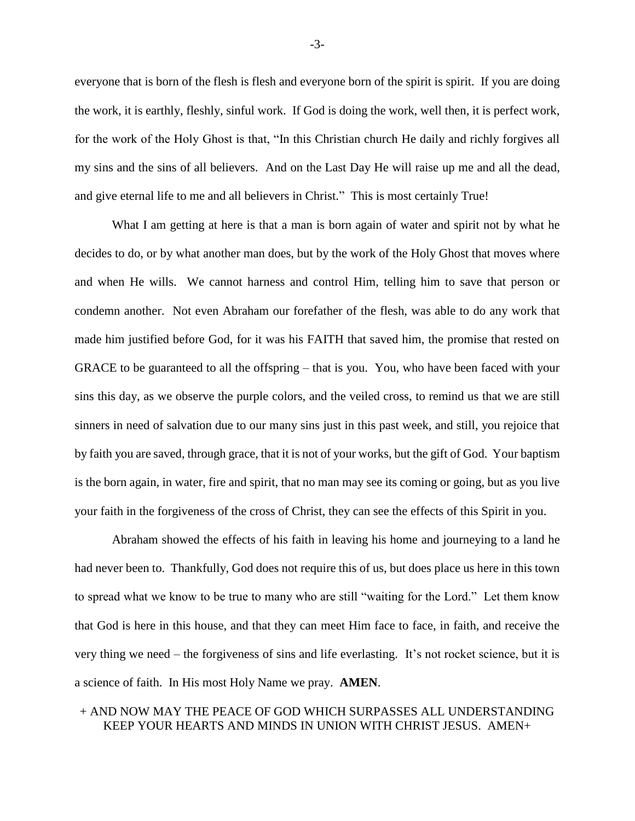everyone that is born of the flesh is flesh and everyone born of the spirit is spirit. If you are doing the work, it is earthly, fleshly, sinful work. If God is doing the work, well then, it is perfect work, for the work of the Holy Ghost is that, "In this Christian church He daily and richly forgives all my sins and the sins of all believers. And on the Last Day He will raise up me and all the dead, and give eternal life to me and all believers in Christ." This is most certainly True!

What I am getting at here is that a man is born again of water and spirit not by what he decides to do, or by what another man does, but by the work of the Holy Ghost that moves where and when He wills. We cannot harness and control Him, telling him to save that person or condemn another. Not even Abraham our forefather of the flesh, was able to do any work that made him justified before God, for it was his FAITH that saved him, the promise that rested on GRACE to be guaranteed to all the offspring – that is you. You, who have been faced with your sins this day, as we observe the purple colors, and the veiled cross, to remind us that we are still sinners in need of salvation due to our many sins just in this past week, and still, you rejoice that by faith you are saved, through grace, that it is not of your works, but the gift of God. Your baptism is the born again, in water, fire and spirit, that no man may see its coming or going, but as you live your faith in the forgiveness of the cross of Christ, they can see the effects of this Spirit in you.

Abraham showed the effects of his faith in leaving his home and journeying to a land he had never been to. Thankfully, God does not require this of us, but does place us here in this town to spread what we know to be true to many who are still "waiting for the Lord." Let them know that God is here in this house, and that they can meet Him face to face, in faith, and receive the very thing we need – the forgiveness of sins and life everlasting. It's not rocket science, but it is a science of faith. In His most Holy Name we pray. **AMEN**.

## + AND NOW MAY THE PEACE OF GOD WHICH SURPASSES ALL UNDERSTANDING KEEP YOUR HEARTS AND MINDS IN UNION WITH CHRIST JESUS. AMEN+